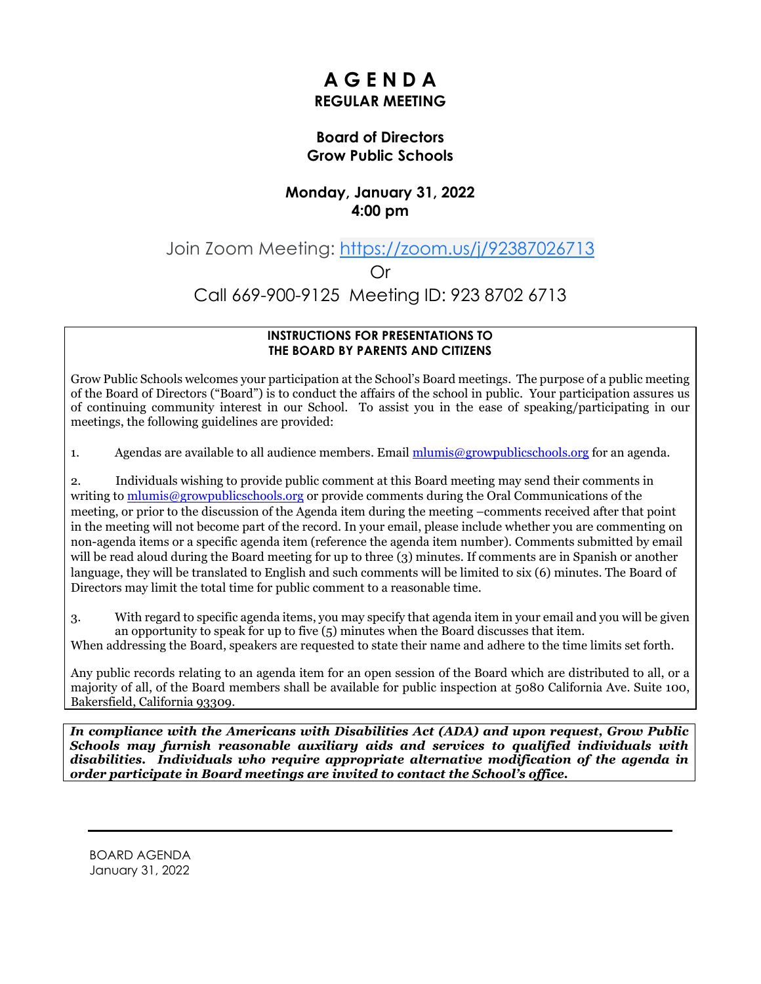# **A G E N D A REGULAR MEETING**

#### **Board of Directors Grow Public Schools**

## **Monday, January 31, 2022 4:00 pm**

Join Zoom Meeting: [https://zoom.us/j/92387026713](https://www.google.com/url?q=https://zoom.us/j/92387026713&sa=D&source=calendar&ust=1643826077963304&usg=AOvVaw1xiWNuGxBcX3RliNMMyZDC)

Or

Call 669-900-9125 Meeting ID: 923 8702 6713

#### **INSTRUCTIONS FOR PRESENTATIONS TO THE BOARD BY PARENTS AND CITIZENS**

Grow Public Schools welcomes your participation at the School's Board meetings. The purpose of a public meeting of the Board of Directors ("Board") is to conduct the affairs of the school in public. Your participation assures us of continuing community interest in our School. To assist you in the ease of speaking/participating in our meetings, the following guidelines are provided:

1. Agendas are available to all audience members. Email  $\frac{m \cdot m}{m}$  egrowpublics chools, org for an agenda.

2. Individuals wishing to provide public comment at this Board meeting may send their comments in writing to [mlumis@growpublicschools.org](mailto:mlumis@growpublicschools.org) or provide comments during the Oral Communications of the meeting, or prior to the discussion of the Agenda item during the meeting –comments received after that point in the meeting will not become part of the record. In your email, please include whether you are commenting on non-agenda items or a specific agenda item (reference the agenda item number). Comments submitted by email will be read aloud during the Board meeting for up to three (3) minutes. If comments are in Spanish or another language, they will be translated to English and such comments will be limited to six (6) minutes. The Board of Directors may limit the total time for public comment to a reasonable time.

3. With regard to specific agenda items, you may specify that agenda item in your email and you will be given an opportunity to speak for up to five (5) minutes when the Board discusses that item.

When addressing the Board, speakers are requested to state their name and adhere to the time limits set forth.

Any public records relating to an agenda item for an open session of the Board which are distributed to all, or a majority of all, of the Board members shall be available for public inspection at 5080 California Ave. Suite 100, Bakersfield, California 93309.

*In compliance with the Americans with Disabilities Act (ADA) and upon request, Grow Public Schools may furnish reasonable auxiliary aids and services to qualified individuals with disabilities. Individuals who require appropriate alternative modification of the agenda in order participate in Board meetings are invited to contact the School's office.*

BOARD AGENDA January 31, 2022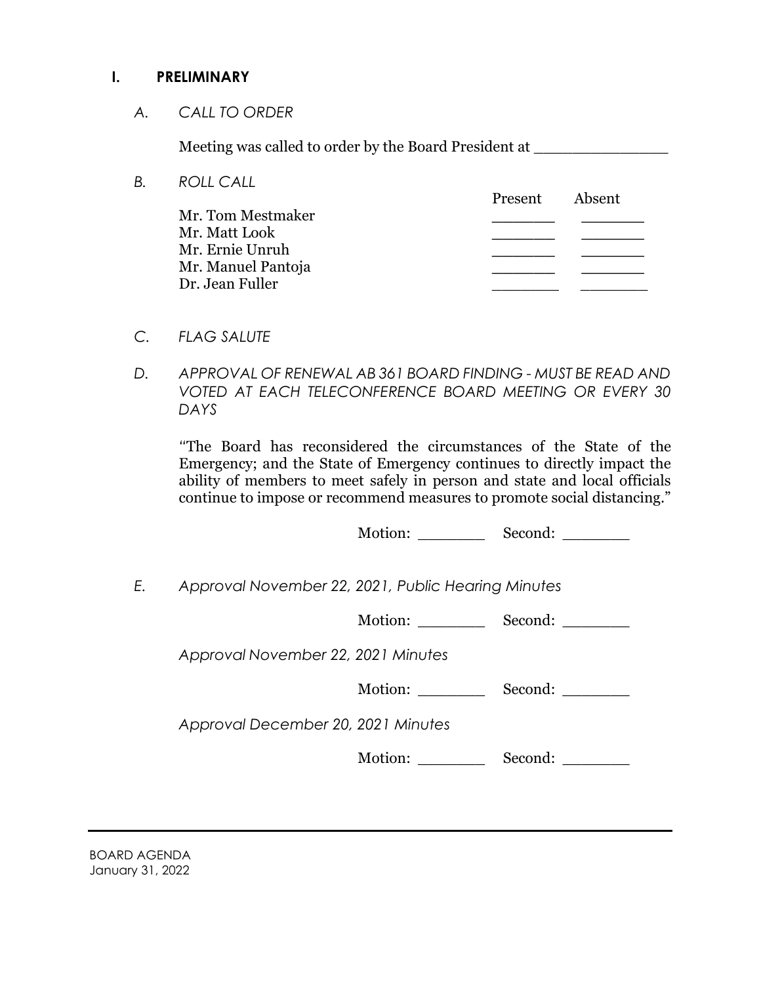#### **I. PRELIMINARY**

*A. CALL TO ORDER*

Meeting was called to order by the Board President at

| В. | <b>ROLL CALL</b>   |         |        |
|----|--------------------|---------|--------|
|    |                    | Present | Absent |
|    | Mr. Tom Mestmaker  |         |        |
|    | Mr. Matt Look      |         |        |
|    | Mr. Ernie Unruh    |         |        |
|    | Mr. Manuel Pantoja |         |        |
|    | Dr. Jean Fuller    |         |        |
|    |                    |         |        |

- *C. FLAG SALUTE*
- *D. APPROVAL OF RENEWAL AB 361 BOARD FINDING - MUST BE READ AND VOTED AT EACH TELECONFERENCE BOARD MEETING OR EVERY 30 DAYS*

*"*The Board has reconsidered the circumstances of the State of the Emergency; and the State of Emergency continues to directly impact the ability of members to meet safely in person and state and local officials continue to impose or recommend measures to promote social distancing."

Motion: Second:

*E. Approval November 22, 2021, Public Hearing Minutes*

Motion: \_\_\_\_\_\_\_\_\_\_ Second:

*Approval November 22, 2021 Minutes*

*Approval December 20, 2021 Minutes*

Motion: \_\_\_\_\_\_\_\_\_\_ Second: \_\_\_\_\_\_\_\_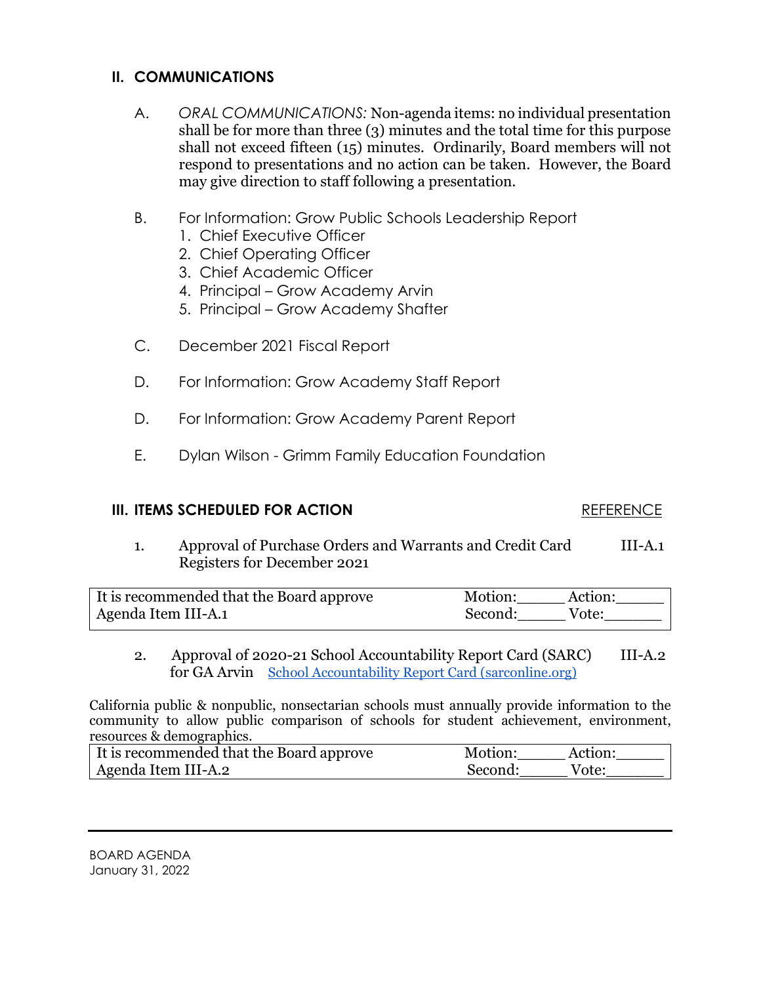### **II. COMMUNICATIONS**

- A. *ORAL COMMUNICATIONS:* Non-agenda items: no individual presentation shall be for more than three (3) minutes and the total time for this purpose shall not exceed fifteen (15) minutes. Ordinarily, Board members will not respond to presentations and no action can be taken. However, the Board may give direction to staff following a presentation.
- B. For Information: Grow Public Schools Leadership Report
	- 1. Chief Executive Officer
	- 2. Chief Operating Officer
	- 3. Chief Academic Officer
	- 4. Principal Grow Academy Arvin
	- 5. Principal Grow Academy Shafter
- C. December 2021 Fiscal Report
- D. For Information: Grow Academy Staff Report
- D. For Information: Grow Academy Parent Report
- E. Dylan Wilson Grimm Family Education Foundation

#### **III. ITEMS SCHEDULED FOR ACTION** REFERENCE

1. Approval of Purchase Orders and Warrants and Credit Card III-A.1 Registers for December 2021

| It is recommended that the Board approve | Motion:<br>Action: |  |
|------------------------------------------|--------------------|--|
| Agenda Item III-A.1                      | Second:<br>Vote:   |  |

2. Approval of 2020-21 School Accountability Report Card (SARC) III-A.2 for GA Arvin [School Accountability Report Card \(sarconline.org\)](https://sarconline.org/public/print/15101570124040/2020-2021?guid=580CF2F6-EDA8-4BC9-BD92-BF9794B450FA)

California public & nonpublic, nonsectarian schools must annually provide information to the community to allow public comparison of schools for student achievement, environment, resources & demographics.

| It is recommended that the Board approve | Motion:    | Action: |
|------------------------------------------|------------|---------|
| Agenda Item III-A.2                      | -Second: - | Vote:   |

BOARD AGENDA January 31, 2022